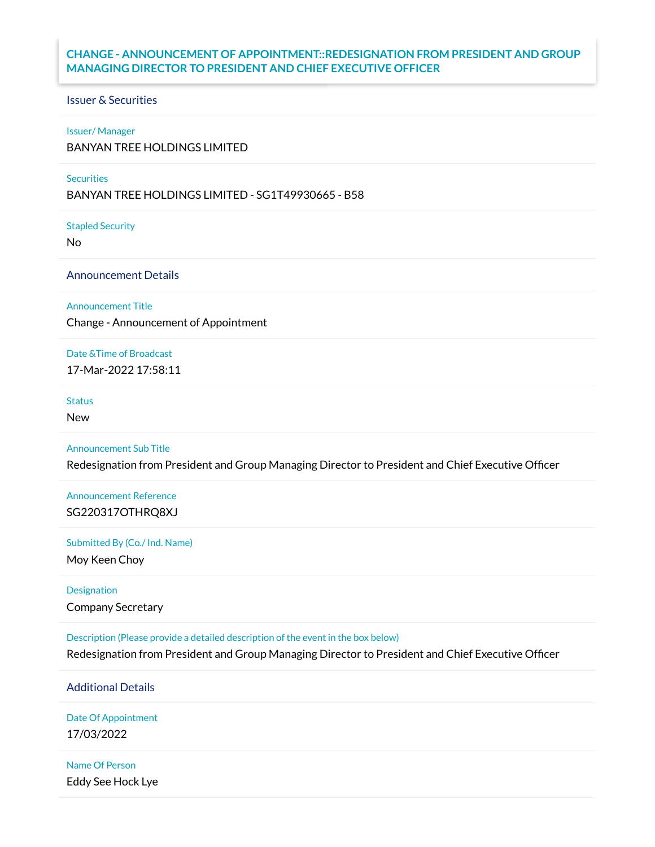# **CHANGE - ANNOUNCEMENT OF APPOINTMENT::REDESIGNATION FROM PRESIDENT AND GROUP MANAGING DIRECTOR TO PRESIDENT AND CHIEF EXECUTIVE OFFICER**

# Issuer & Securities

### Issuer/ Manager

BANYAN TREE HOLDINGS LIMITED

### **Securities**

BANYAN TREE HOLDINGS LIMITED - SG1T49930665 - B58

Stapled Security

No

Announcement Details

Announcement Title

Change - Announcement of Appointment

Date &Time of Broadcast

17-Mar-2022 17:58:11

**Status** 

New

Announcement Sub Title

Redesignation from President and Group Managing Director to President and Chief Executive Officer

Announcement Reference SG220317OTHRQ8XJ

Submitted By (Co./ Ind. Name)

Moy Keen Choy

Designation Company Secretary

Description (Please provide a detailed description of the event in the box below)

Redesignation from President and Group Managing Director to President and Chief Executive Officer

Additional Details

Date Of Appointment 17/03/2022

Name Of Person Eddy See Hock Lye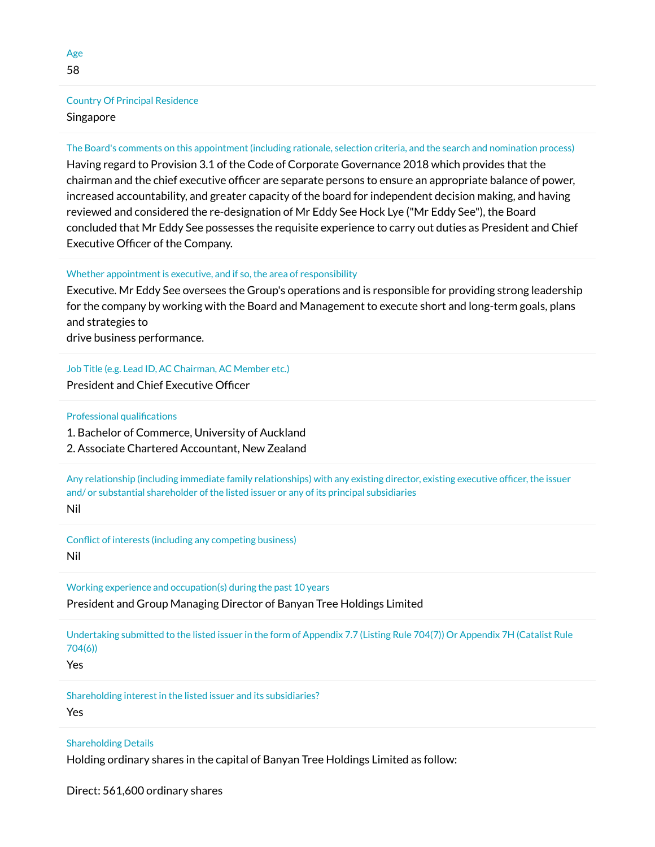# Country Of Principal Residence Singapore

## The Board's comments on this appointment (including rationale, selection criteria, and the search and nomination process)

Having regard to Provision 3.1 of the Code of Corporate Governance 2018 which provides that the chairman and the chief executive officer are separate persons to ensure an appropriate balance of power, increased accountability, and greater capacity of the board for independent decision making, and having reviewed and considered the re-designation of Mr Eddy See Hock Lye ("Mr Eddy See"), the Board concluded that Mr Eddy See possesses the requisite experience to carry out duties as President and Chief Executive Officer of the Company.

#### Whether appointment is executive, and if so, the area of responsibility

Executive. Mr Eddy See oversees the Group's operations and is responsible for providing strong leadership for the company by working with the Board and Management to execute short and long-term goals, plans and strategies to

drive business performance.

Job Title (e.g. Lead ID, AC Chairman, AC Member etc.) President and Chief Executive Officer

Professional qualifications

1. Bachelor of Commerce, University of Auckland

2. Associate Chartered Accountant, New Zealand

Any relationship (including immediate family relationships) with any existing director, existing executive officer, the issuer and/ or substantial shareholder of the listed issuer or any of its principal subsidiaries Nil

Conflict of interests (including any competing business) Nil

Working experience and occupation(s) during the past 10 years

President and Group Managing Director of Banyan Tree Holdings Limited

Undertaking submitted to the listed issuer in the form of Appendix 7.7 (Listing Rule 704(7)) Or Appendix 7H (Catalist Rule 704(6))

Yes

Shareholding interest in the listed issuer and its subsidiaries?

Yes

#### Shareholding Details

Holding ordinary shares in the capital of Banyan Tree Holdings Limited as follow:

Direct: 561,600 ordinary shares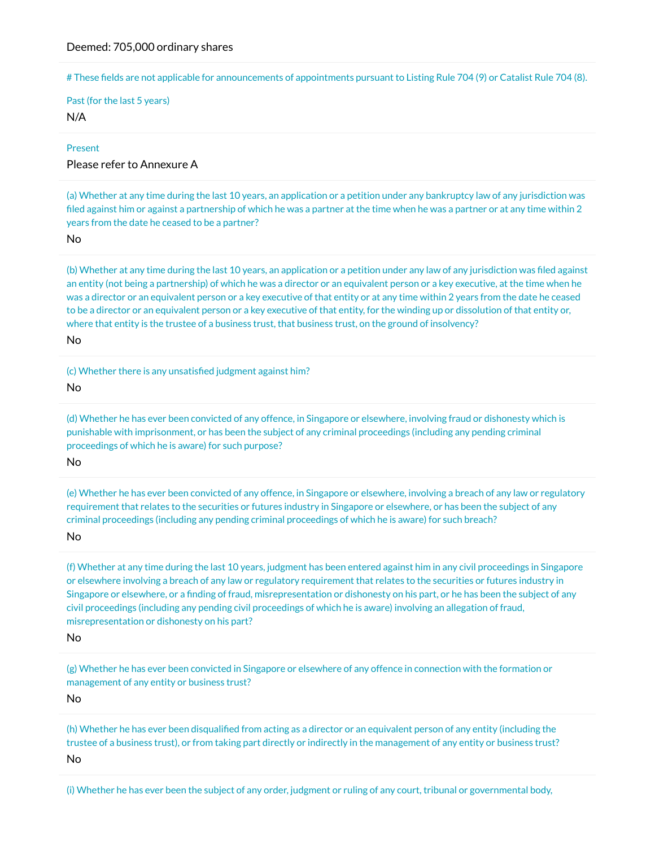# These fields are not applicable for announcements of appointments pursuant to Listing Rule 704 (9) or Catalist Rule 704 (8).

Past (for the last 5 years) N/A

#### Present

# Please refer to Annexure A

(a) Whether at any time during the last 10 years, an application or a petition under any bankruptcy law of any jurisdiction was filed against him or against a partnership of which he was a partner at the time when he was a partner or at any time within 2 years from the date he ceased to be a partner?

No

(b) Whether at any time during the last 10 years, an application or a petition under any law of any jurisdiction was �led against an entity (not being a partnership) of which he was a director or an equivalent person or a key executive, at the time when he was a director or an equivalent person or a key executive of that entity or at any time within 2 years from the date he ceased to be a director or an equivalent person or a key executive of that entity, for the winding up or dissolution of that entity or, where that entity is the trustee of a business trust, that business trust, on the ground of insolvency?

No

(c) Whether there is any unsatisfied judgment against him?

No

(d) Whether he has ever been convicted of any offence, in Singapore or elsewhere, involving fraud or dishonesty which is punishable with imprisonment, or has been the subject of any criminal proceedings (including any pending criminal proceedings of which he is aware) for such purpose?

No

(e) Whether he has ever been convicted of any offence, in Singapore or elsewhere, involving a breach of any law or regulatory requirement that relates to the securities or futures industry in Singapore or elsewhere, or has been the subject of any criminal proceedings (including any pending criminal proceedings of which he is aware) for such breach?

No

(f) Whether at any time during the last 10 years, judgment has been entered against him in any civil proceedings in Singapore or elsewhere involving a breach of any law or regulatory requirement that relates to the securities or futures industry in Singapore or elsewhere, or a finding of fraud, misrepresentation or dishonesty on his part, or he has been the subject of any civil proceedings (including any pending civil proceedings of which he is aware) involving an allegation of fraud, misrepresentation or dishonesty on his part?

No

(g) Whether he has ever been convicted in Singapore or elsewhere of any offence in connection with the formation or management of any entity or business trust?

No

(h) Whether he has ever been disqualified from acting as a director or an equivalent person of any entity (including the trustee of a business trust), or from taking part directly or indirectly in the management of any entity or business trust? No

(i) Whether he has ever been the subject of any order, judgment or ruling of any court, tribunal or governmental body,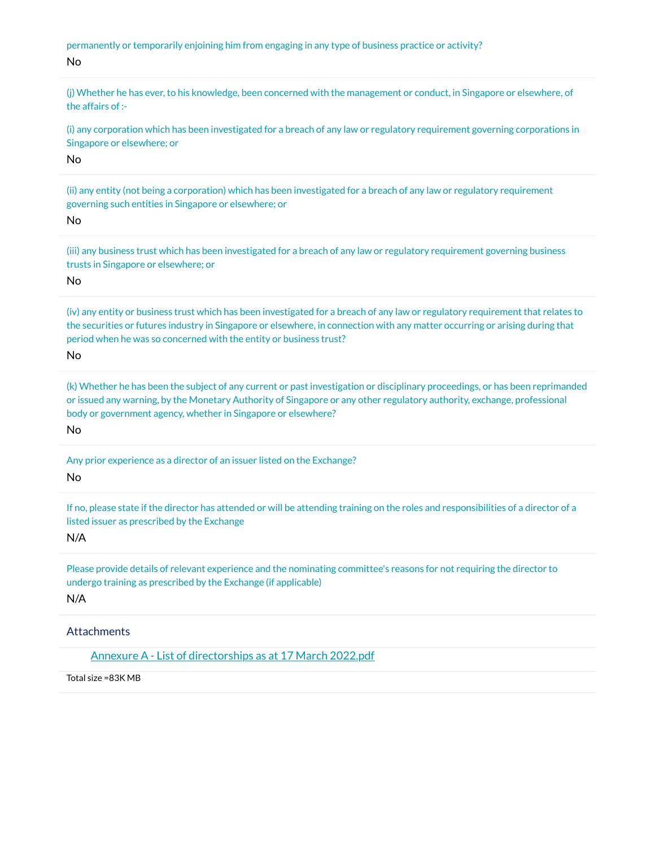permanently or temporarily enjoining him from engaging in any type of business practice or activity?

No

(j) Whether he has ever, to his knowledge, been concerned with the management or conduct, in Singapore or elsewhere, of the affairs of :-

(i) any corporation which has been investigated for a breach of any law or regulatory requirement governing corporations in Singapore or elsewhere; or

No

(ii) any entity (not being a corporation) which has been investigated for a breach of any law or regulatory requirement governing such entities in Singapore or elsewhere; or

No

(iii) any business trust which has been investigated for a breach of any law or regulatory requirement governing business trusts in Singapore or elsewhere; or

No

(iv) any entity or business trust which has been investigated for a breach of any law or regulatory requirement that relates to the securities or futures industry in Singapore or elsewhere, in connection with any matter occurring or arising during that period when he was so concerned with the entity or business trust?

No

(k) Whether he has been the subject of any current or past investigation or disciplinary proceedings, or has been reprimanded or issued any warning, by the Monetary Authority of Singapore or any other regulatory authority, exchange, professional body or government agency, whether in Singapore or elsewhere?

No

Any prior experience as a director of an issuer listed on the Exchange? No

If no, please state if the director has attended or will be attending training on the roles and responsibilities of a director of a listed issuer as prescribed by the Exchange

N/A

Please provide details of relevant experience and the nominating committee's reasons for not requiring the director to undergo training as prescribed by the Exchange (if applicable)

N/A

**Attachments** 

[Annexure A - List of directorships as at 17 March 2022.pdf](https://links.sgx.com/1.0.0/corporate-announcements/TA5Y07CIJ2G3SIQO/707464_Annexure%20A%20-%20List%20of%20directorships%20as%20at%2017%20March%202022.pdf)

Total size =83K MB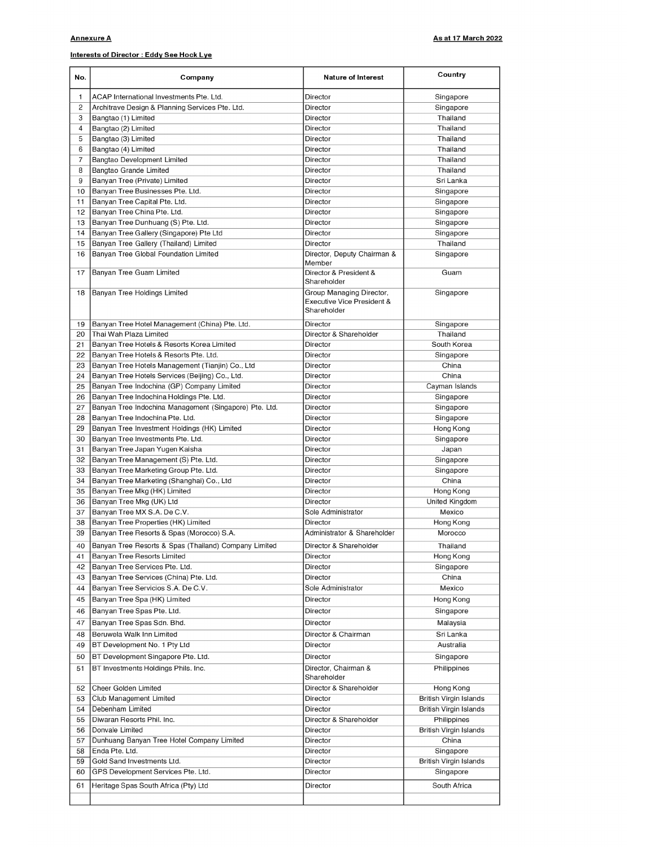## Interests of Director : Eddy See Hock Lye

| No.                     | Company                                                | <b>Nature of Interest</b>                                             | Country                       |
|-------------------------|--------------------------------------------------------|-----------------------------------------------------------------------|-------------------------------|
| 1                       | ACAP International Investments Pte. Ltd.               | Director                                                              | Singapore                     |
| $\overline{\mathbf{c}}$ | Architrave Design & Planning Services Pte. Ltd.        | Director                                                              | Singapore                     |
| 3                       | Bangtao (1) Limited                                    | Director                                                              | Thailand                      |
| 4                       | Bangtao (2) Limited                                    | Director                                                              | Thailand                      |
| 5                       | Bangtao (3) Limited                                    | Director                                                              | Thailand                      |
| 6                       | Bangtao (4) Limited                                    | Director                                                              | Thailand                      |
| $\overline{7}$          | Bangtao Development Limited                            | Director                                                              | Thailand                      |
| 8                       | Bangtao Grande Limited                                 | Director                                                              | Thailand                      |
| 9                       | Banyan Tree (Private) Limited                          | Director                                                              | Sri Lanka                     |
| 10                      | Banyan Tree Businesses Pte. Ltd.                       | Director                                                              | Singapore                     |
| 11                      | Banyan Tree Capital Pte. Ltd.                          | Director                                                              | Singapore                     |
| 12                      | Banyan Tree China Pte. Ltd.                            | Director                                                              | Singapore                     |
| 13                      | Banyan Tree Dunhuang (S) Pte. Ltd.                     | Director                                                              | Singapore                     |
| 14                      | Banyan Tree Gallery (Singapore) Pte Ltd                | Director                                                              | Singapore                     |
| 15                      | Banyan Tree Gallery (Thailand) Limited                 | Director                                                              | Thailand                      |
| 16                      | Banyan Tree Global Foundation Limited                  | Director, Deputy Chairman &                                           | Singapore                     |
| 17                      | Banyan Tree Guam Limited                               | Member<br>Director & President &                                      | Guam                          |
|                         |                                                        | Shareholder                                                           |                               |
| 18                      | Banyan Tree Holdings Limited                           | Group Managing Director,<br>Executive Vice President &<br>Shareholder | Singapore                     |
| 19                      | Banyan Tree Hotel Management (China) Pte. Ltd.         | Director                                                              | Singapore                     |
| 20                      | Thai Wah Plaza Limited                                 | Director & Shareholder                                                | Thailand                      |
| 21                      | Banyan Tree Hotels & Resorts Korea Limited             | Director                                                              | South Korea                   |
| 22                      | Banyan Tree Hotels & Resorts Pte. Ltd.                 | Director                                                              | Singapore                     |
| 23                      | Banyan Tree Hotels Management (Tianjin) Co., Ltd       | Director                                                              | China                         |
| 24                      | Banyan Tree Hotels Services (Beijing) Co., Ltd.        | Director                                                              | China                         |
| 25                      | Banyan Tree Indochina (GP) Company Limited             | Director                                                              | Cayman Islands                |
| 26                      | Banyan Tree Indochina Holdings Pte. Ltd.               | Director                                                              | Singapore                     |
| 27                      | Banyan Tree Indochina Management (Singapore) Pte. Ltd. | Director                                                              | Singapore                     |
| 28                      | Banyan Tree Indochina Pte. Ltd.                        | Director                                                              | Singapore                     |
| 29                      | Banyan Tree Investment Holdings (HK) Limited           | Director                                                              | Hong Kong                     |
| 30                      | Banyan Tree Investments Pte. Ltd.                      | Director                                                              | Singapore                     |
| 31                      | Banyan Tree Japan Yugen Kaisha                         | Director                                                              | Japan                         |
| 32                      | Banyan Tree Management (S) Pte. Ltd.                   | Director                                                              | Singapore                     |
| 33                      | Banyan Tree Marketing Group Pte. Ltd.                  | Director                                                              | Singapore                     |
| 34                      | Banyan Tree Marketing (Shanghai) Co., Ltd              | Director                                                              | China                         |
| 35                      | Banyan Tree Mkg (HK) Limited                           | Director                                                              | Hong Kong                     |
| 36                      | Banyan Tree Mkg (UK) Ltd                               | Director                                                              | United Kingdom                |
| 37                      | Banyan Tree MX S.A. De C.V.                            | Sole Administrator                                                    | Mexico                        |
| 38                      | Banyan Tree Properties (HK) Limited                    | Director                                                              | Hong Kong                     |
| 39                      | Banyan Tree Resorts & Spas (Morocco) S.A.              | Administrator & Shareholder                                           | Morocco                       |
|                         |                                                        |                                                                       |                               |
| 40                      | Banyan Tree Resorts & Spas (Thailand) Company Limited  | Director & Shareholder                                                | Thailand                      |
| 41                      | Banyan Tree Resorts Limited                            | Director                                                              | Hong Kong                     |
| 42                      | Banyan Tree Services Pte. Ltd.                         | Director                                                              | Singapore                     |
| 43                      | Banyan Tree Services (China) Pte. Ltd.                 | Director                                                              | China                         |
| 44                      | Banyan Tree Servicios S.A. De C.V.                     | Sole Administrator                                                    | Mexico                        |
| 45                      | Banyan Tree Spa (HK) Limited                           | Director                                                              | Hong Kong                     |
| 46                      | Banyan Tree Spas Pte. Ltd.                             | Director                                                              | Singapore                     |
| 47                      | Banyan Tree Spas Sdn. Bhd.                             | Director                                                              | Malaysia                      |
| 48                      | Beruwela Walk Inn Limited                              | Director & Chairman                                                   | Sri Lanka                     |
| 49                      | BT Development No. 1 Pty Ltd                           | Director                                                              | Australia                     |
|                         |                                                        |                                                                       |                               |
| 50                      | BT Development Singapore Pte. Ltd.                     | Director                                                              | Singapore                     |
| 51                      | BT Investments Holdings Phils. Inc.                    | Director, Chairman &<br>Shareholder                                   | Philippines                   |
| 52                      | Cheer Golden Limited                                   | Director & Shareholder                                                | Hong Kong                     |
| 53                      | Club Management Limited                                | Director                                                              | <b>British Virgin Islands</b> |
| 54                      | Debenham Limited                                       | Director                                                              | <b>British Virgin Islands</b> |
| 55                      | Diwaran Resorts Phil. Inc.                             | Director & Shareholder                                                | Philippines                   |
| 56                      | Donvale Limited                                        | Director                                                              | <b>British Virgin Islands</b> |
| 57                      | Dunhuang Banyan Tree Hotel Company Limited             | Director                                                              | China                         |
| 58                      | Enda Pte. Ltd.                                         | Director                                                              | Singapore                     |
| 59                      | Gold Sand Investments Ltd.                             | Director                                                              | <b>British Virgin Islands</b> |
| 60                      | GPS Development Services Pte. Ltd.                     | Director                                                              | Singapore                     |
| 61                      | Heritage Spas South Africa (Pty) Ltd                   | Director                                                              | South Africa                  |
|                         |                                                        |                                                                       |                               |